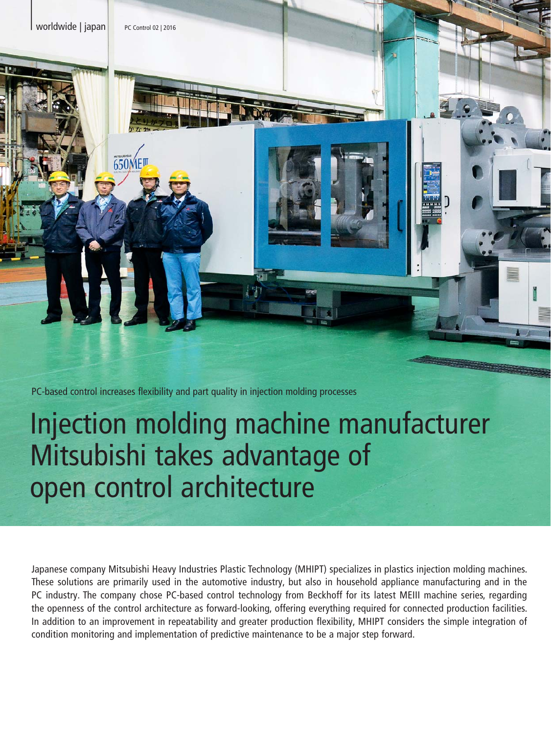

PC-based control increases flexibility and part quality in injection molding processes

# Injection molding machine manufacturer Mitsubishi takes advantage of open control architecture

Japanese company Mitsubishi Heavy Industries Plastic Technology (MHIPT) specializes in plastics injection molding machines. These solutions are primarily used in the automotive industry, but also in household appliance manufacturing and in the PC industry. The company chose PC-based control technology from Beckhoff for its latest MEIII machine series, regarding the openness of the control architecture as forward-looking, offering everything required for connected production facilities. In addition to an improvement in repeatability and greater production flexibility, MHIPT considers the simple integration of condition monitoring and implementation of predictive maintenance to be a major step forward.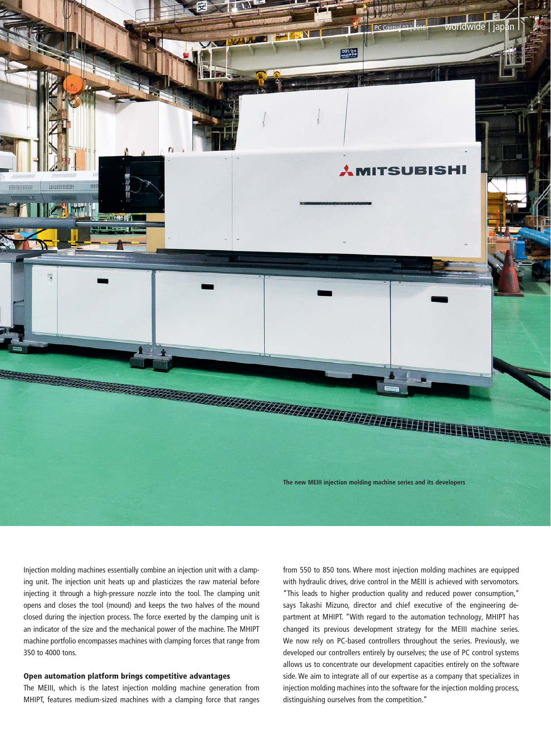

Injection molding machines essentially combine an injection unit with a clamping unit. The injection unit heats up and plasticizes the raw material before injecting it through a high-pressure nozzle into the tool. The clamping unit opens and closes the tool (mound) and keeps the two halves of the mound closed during the injection process. The force exerted by the clamping unit is an indicator of the size and the mechanical power of the machine. The MHIPT machine portfolio encompasses machines with clamping forces that range from 350 to 4000 tons.

## Open automation platform brings competitive advantages

The MEIII, which is the latest injection molding machine generation from MHIPT, features medium-sized machines with a clamping force that ranges from 550 to 850 tons. Where most injection molding machines are equipped with hydraulic drives, drive control in the MEIII is achieved with servomotors. "This leads to higher production quality and reduced power consumption," says Takashi Mizuno, director and chief executive of the engineering department at MHIPT. "With regard to the automation technology, MHIPT has changed its previous development strategy for the MEIII machine series. We now rely on PC-based controllers throughout the series. Previously, we developed our controllers entirely by ourselves; the use of PC control systems allows us to concentrate our development capacities entirely on the software side. We aim to integrate all of our expertise as a company that specializes in injection molding machines into the software for the injection molding process, distinguishing ourselves from the competition."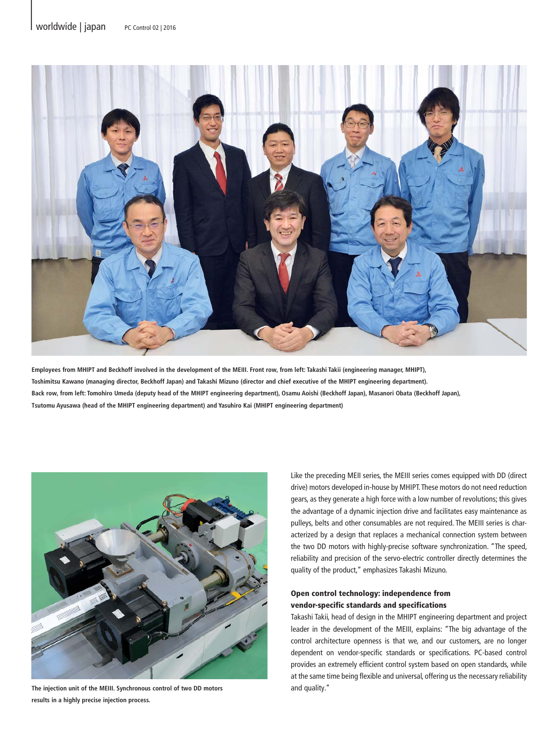

**Employees from MHIPT and Beckhoff involved in the development of the MEIII. Front row, from left: Takashi Takii (engineering manager, MHIPT), Toshimitsu Kawano (managing director, Beckhoff Japan) and Takashi Mizuno (director and chief executive of the MHIPT engineering department). Back row, from left: Tomohiro Umeda (deputy head of the MHIPT engineering department), Osamu Aoishi (Beckhoff Japan), Masanori Obata (Beckhoff Japan), Tsutomu Ayusawa (head of the MHIPT engineering department) and Yasuhiro Kai (MHIPT engineering department)**



**The injection unit of the MEIII. Synchronous control of two DD motors results in a highly precise injection process.**

Like the preceding MEII series, the MEIII series comes equipped with DD (direct drive) motors developed in-house by MHIPT. These motors do not need reduction gears, as they generate a high force with a low number of revolutions; this gives the advantage of a dynamic injection drive and facilitates easy maintenance as pulleys, belts and other consumables are not required. The MEIII series is characterized by a design that replaces a mechanical connection system between the two DD motors with highly-precise software synchronization. "The speed, reliability and precision of the servo-electric controller directly determines the quality of the product," emphasizes Takashi Mizuno.

## Open control technology: independence from vendor-specific standards and specifications

Takashi Takii, head of design in the MHIPT engineering department and project leader in the development of the MEIII, explains: "The big advantage of the control architecture openness is that we, and our customers, are no longer dependent on vendor-specific standards or specifications. PC-based control provides an extremely efficient control system based on open standards, while at the same time being flexible and universal, offering us the necessary reliability and quality."